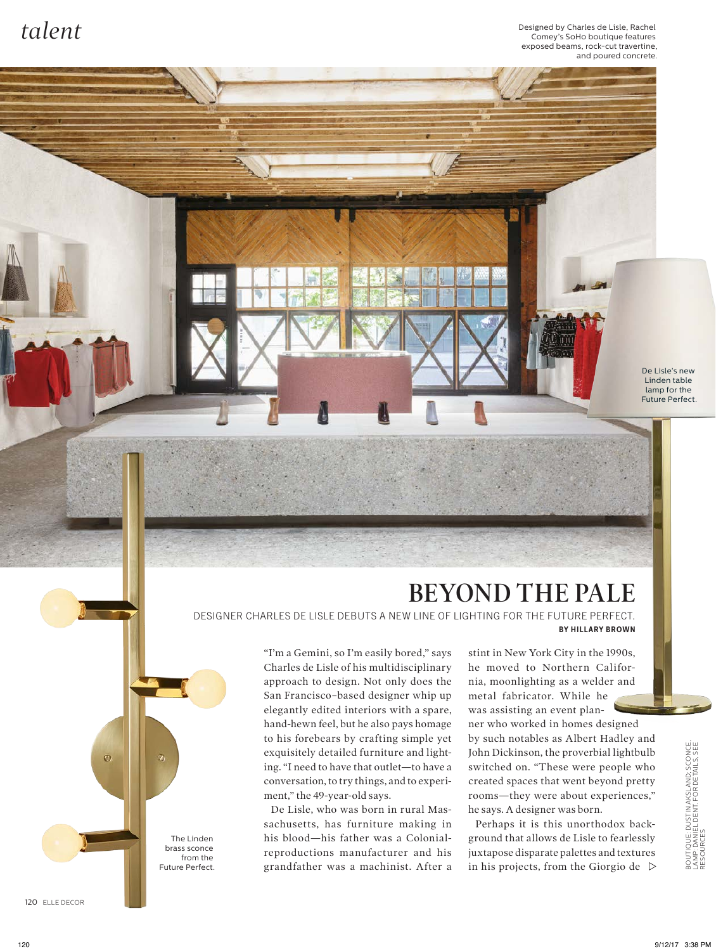$tale$   $t$ Comey's SoHo boutique features exposed beams, rock-cut travertine, and poured concrete.

> De Lisle's new Linden table lamp for the Future Perfect.

## **BEYOND THE PALE**

DESIGNER CHARLES DE LISLE DEBUTS A NEW LINE OF LIGHTING FOR THE FUTURE PERFECT. **BY HILLARY BROWN**

> "I'm a Gemini, so I'm easily bored," says Charles de Lisle of his multidisciplinary approach to design. Not only does the San Francisco–based designer whip up elegantly edited interiors with a spare, hand-hewn feel, but he also pays homage to his forebears by crafting simple yet exquisitely detailed furniture and lighting. "I need to have that outlet—to have a conversation, to try things, and to experiment," the 49-year-old says.

> De Lisle, who was born in rural Massachusetts, has furniture making in his blood—his father was a Colonialreproductions manufacturer and his grandfather was a machinist. After a

stint in New York City in the 1990s, he moved to Northern California, moonlighting as a welder and metal fabricator. While he was assisting an event plan-

ner who worked in homes designed by such notables as Albert Hadley and John Dickinson, the proverbial lightbulb switched on. "These were people who created spaces that went beyond pretty rooms—they were about experiences," he says. A designer was born.

Perhaps it is this unorthodox background that allows de Lisle to fearlessly juxtapose disparate palettes and textures in his projects, from the Giorgio de  $\triangleright$ 

120 ELLE DECOR

Ø

The Linden brass sconce from the Future Perfect.